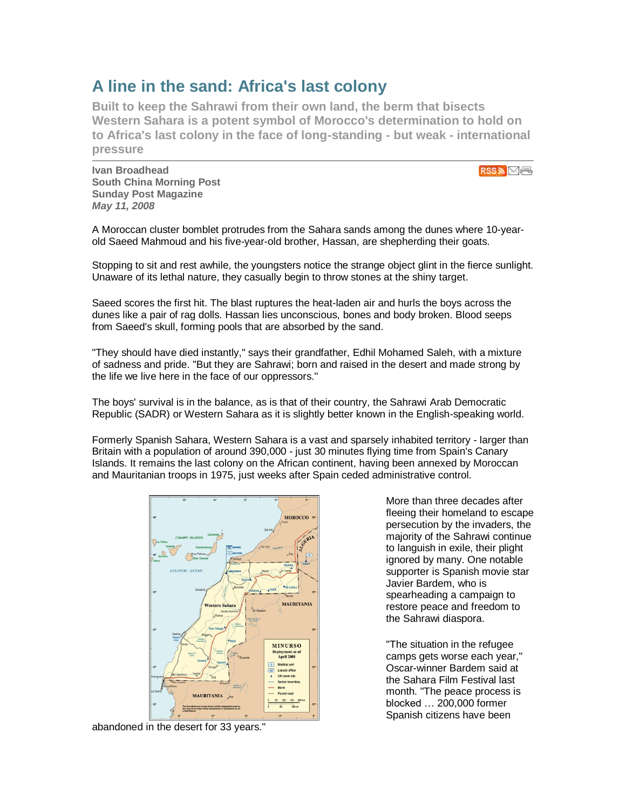## **A line in the sand: Africa's last colony**

**Built to keep the Sahrawi from their own land, the berm that bisects Western Sahara is a potent symbol of Morocco's determination to hold on to Africa's last colony in the face of long-standing - but weak - international pressure**

**Ivan Broadhead South China Morning Post Sunday Post Magazine** *May 11, 2008*

RSS ME

A Moroccan cluster bomblet protrudes from the Sahara sands among the dunes where 10-yearold Saeed Mahmoud and his five-year-old brother, Hassan, are shepherding their goats.

Stopping to sit and rest awhile, the youngsters notice the strange object glint in the fierce sunlight. Unaware of its lethal nature, they casually begin to throw stones at the shiny target.

Saeed scores the first hit. The blast ruptures the heat-laden air and hurls the boys across the dunes like a pair of rag dolls. Hassan lies unconscious, bones and body broken. Blood seeps from Saeed's skull, forming pools that are absorbed by the sand.

"They should have died instantly," says their grandfather, Edhil Mohamed Saleh, with a mixture of sadness and pride. "But they are Sahrawi; born and raised in the desert and made strong by the life we live here in the face of our oppressors."

The boys' survival is in the balance, as is that of their country, the Sahrawi Arab Democratic Republic (SADR) or Western Sahara as it is slightly better known in the English-speaking world.

Formerly Spanish Sahara, Western Sahara is a vast and sparsely inhabited territory - larger than Britain with a population of around 390,000 - just 30 minutes flying time from Spain's Canary Islands. It remains the last colony on the African continent, having been annexed by Moroccan and Mauritanian troops in 1975, just weeks after Spain ceded administrative control.



abandoned in the desert for 33 years."

More than three decades after fleeing their homeland to escape persecution by the invaders, the majority of the Sahrawi continue to languish in exile, their plight ignored by many. One notable supporter is Spanish movie star Javier Bardem, who is spearheading a campaign to restore peace and freedom to the Sahrawi diaspora.

"The situation in the refugee camps gets worse each year," Oscar-winner Bardem said at the Sahara Film Festival last month. "The peace process is blocked … 200,000 former Spanish citizens have been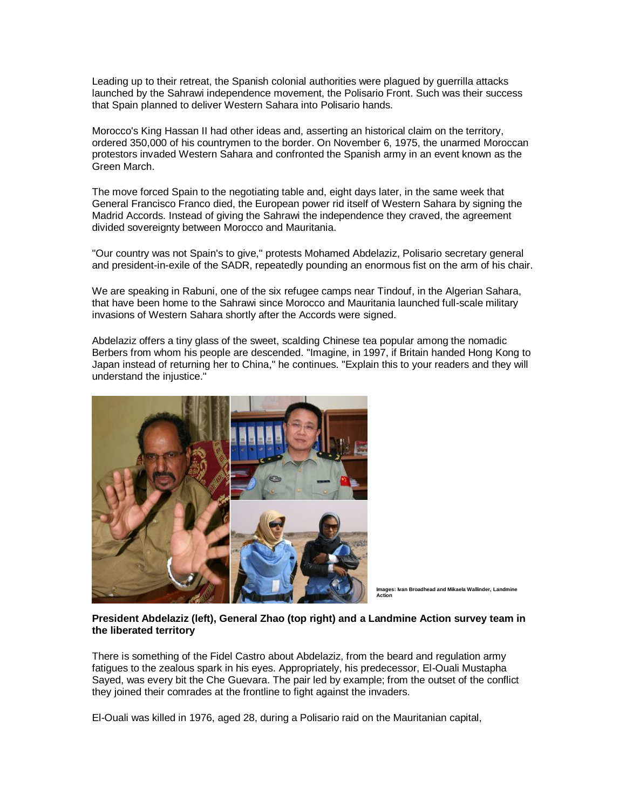Leading up to their retreat, the Spanish colonial authorities were plagued by guerrilla attacks launched by the Sahrawi independence movement, the Polisario Front. Such was their success that Spain planned to deliver Western Sahara into Polisario hands.

Morocco's King Hassan II had other ideas and, asserting an historical claim on the territory, ordered 350,000 of his countrymen to the border. On November 6, 1975, the unarmed Moroccan protestors invaded Western Sahara and confronted the Spanish army in an event known as the Green March.

The move forced Spain to the negotiating table and, eight days later, in the same week that General Francisco Franco died, the European power rid itself of Western Sahara by signing the Madrid Accords. Instead of giving the Sahrawi the independence they craved, the agreement divided sovereignty between Morocco and Mauritania.

"Our country was not Spain's to give," protests Mohamed Abdelaziz, Polisario secretary general and president-in-exile of the SADR, repeatedly pounding an enormous fist on the arm of his chair.

We are speaking in Rabuni, one of the six refugee camps near Tindouf, in the Algerian Sahara, that have been home to the Sahrawi since Morocco and Mauritania launched full-scale military invasions of Western Sahara shortly after the Accords were signed.

Abdelaziz offers a tiny glass of the sweet, scalding Chinese tea popular among the nomadic Berbers from whom his people are descended. "Imagine, in 1997, if Britain handed Hong Kong to Japan instead of returning her to China," he continues. "Explain this to your readers and they will understand the injustice."



**Images: Ivan Broadhead and Mikaela Wallinder, Landmine Action**

## **President Abdelaziz (left), General Zhao (top right) and a Landmine Action survey team in the liberated territory**

There is something of the Fidel Castro about Abdelaziz, from the beard and regulation army fatigues to the zealous spark in his eyes. Appropriately, his predecessor, El-Ouali Mustapha Sayed, was every bit the Che Guevara. The pair led by example; from the outset of the conflict they joined their comrades at the frontline to fight against the invaders.

El-Ouali was killed in 1976, aged 28, during a Polisario raid on the Mauritanian capital,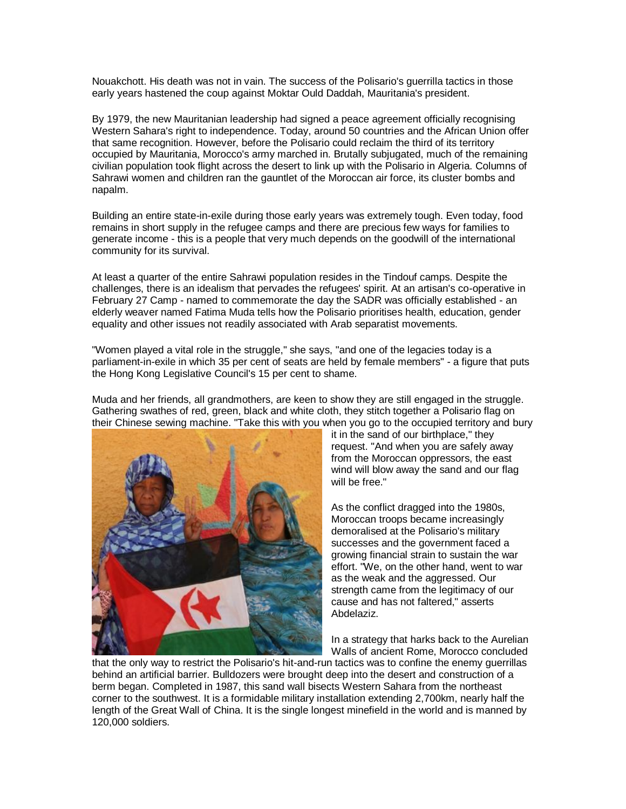Nouakchott. His death was not in vain. The success of the Polisario's guerrilla tactics in those early years hastened the coup against Moktar Ould Daddah, Mauritania's president.

By 1979, the new Mauritanian leadership had signed a peace agreement officially recognising Western Sahara's right to independence. Today, around 50 countries and the African Union offer that same recognition. However, before the Polisario could reclaim the third of its territory occupied by Mauritania, Morocco's army marched in. Brutally subjugated, much of the remaining civilian population took flight across the desert to link up with the Polisario in Algeria. Columns of Sahrawi women and children ran the gauntlet of the Moroccan air force, its cluster bombs and napalm.

Building an entire state-in-exile during those early years was extremely tough. Even today, food remains in short supply in the refugee camps and there are precious few ways for families to generate income - this is a people that very much depends on the goodwill of the international community for its survival.

At least a quarter of the entire Sahrawi population resides in the Tindouf camps. Despite the challenges, there is an idealism that pervades the refugees' spirit. At an artisan's co-operative in February 27 Camp - named to commemorate the day the SADR was officially established - an elderly weaver named Fatima Muda tells how the Polisario prioritises health, education, gender equality and other issues not readily associated with Arab separatist movements.

"Women played a vital role in the struggle," she says, "and one of the legacies today is a parliament-in-exile in which 35 per cent of seats are held by female members" - a figure that puts the Hong Kong Legislative Council's 15 per cent to shame.

Muda and her friends, all grandmothers, are keen to show they are still engaged in the struggle. Gathering swathes of red, green, black and white cloth, they stitch together a Polisario flag on their Chinese sewing machine. "Take this with you when you go to the occupied territory and bury



it in the sand of our birthplace," they request. "And when you are safely away from the Moroccan oppressors, the east wind will blow away the sand and our flag will be free."

As the conflict dragged into the 1980s, Moroccan troops became increasingly demoralised at the Polisario's military successes and the government faced a growing financial strain to sustain the war effort. "We, on the other hand, went to war as the weak and the aggressed. Our strength came from the legitimacy of our cause and has not faltered," asserts Abdelaziz.

In a strategy that harks back to the Aurelian Walls of ancient Rome, Morocco concluded

that the only way to restrict the Polisario's hit-and-run tactics was to confine the enemy guerrillas behind an artificial barrier. Bulldozers were brought deep into the desert and construction of a berm began. Completed in 1987, this sand wall bisects Western Sahara from the northeast corner to the southwest. It is a formidable military installation extending 2,700km, nearly half the length of the Great Wall of China. It is the single longest minefield in the world and is manned by 120,000 soldiers.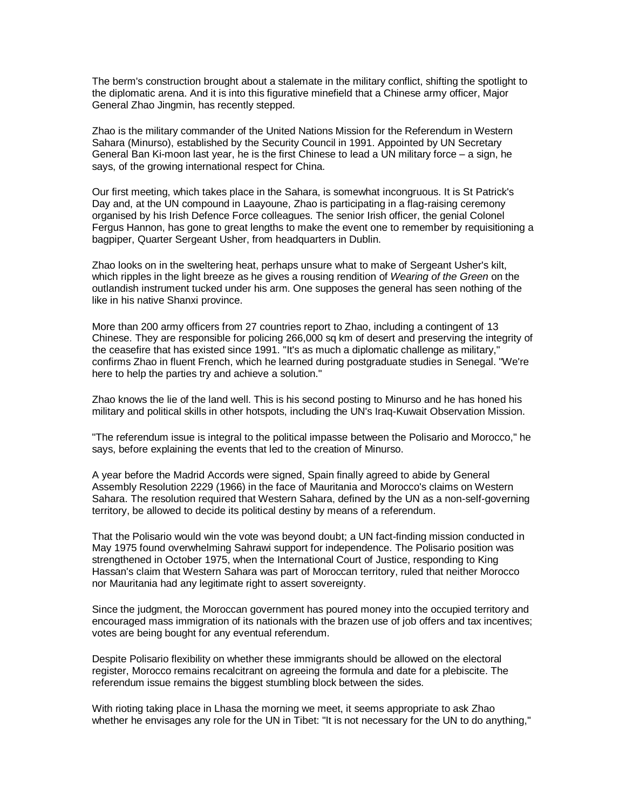The berm's construction brought about a stalemate in the military conflict, shifting the spotlight to the diplomatic arena. And it is into this figurative minefield that a Chinese army officer, Major General Zhao Jingmin, has recently stepped.

Zhao is the military commander of the United Nations Mission for the Referendum in Western Sahara (Minurso), established by the Security Council in 1991. Appointed by UN Secretary General Ban Ki-moon last year, he is the first Chinese to lead a UN military force – a sign, he says, of the growing international respect for China.

Our first meeting, which takes place in the Sahara, is somewhat incongruous. It is St Patrick's Day and, at the UN compound in Laayoune, Zhao is participating in a flag-raising ceremony organised by his Irish Defence Force colleagues. The senior Irish officer, the genial Colonel Fergus Hannon, has gone to great lengths to make the event one to remember by requisitioning a bagpiper, Quarter Sergeant Usher, from headquarters in Dublin.

Zhao looks on in the sweltering heat, perhaps unsure what to make of Sergeant Usher's kilt, which ripples in the light breeze as he gives a rousing rendition of *Wearing of the Green* on the outlandish instrument tucked under his arm. One supposes the general has seen nothing of the like in his native Shanxi province.

More than 200 army officers from 27 countries report to Zhao, including a contingent of 13 Chinese. They are responsible for policing 266,000 sq km of desert and preserving the integrity of the ceasefire that has existed since 1991. "It's as much a diplomatic challenge as military," confirms Zhao in fluent French, which he learned during postgraduate studies in Senegal. "We're here to help the parties try and achieve a solution."

Zhao knows the lie of the land well. This is his second posting to Minurso and he has honed his military and political skills in other hotspots, including the UN's Iraq-Kuwait Observation Mission.

"The referendum issue is integral to the political impasse between the Polisario and Morocco," he says, before explaining the events that led to the creation of Minurso.

A year before the Madrid Accords were signed, Spain finally agreed to abide by General Assembly Resolution 2229 (1966) in the face of Mauritania and Morocco's claims on Western Sahara. The resolution required that Western Sahara, defined by the UN as a non-self-governing territory, be allowed to decide its political destiny by means of a referendum.

That the Polisario would win the vote was beyond doubt; a UN fact-finding mission conducted in May 1975 found overwhelming Sahrawi support for independence. The Polisario position was strengthened in October 1975, when the International Court of Justice, responding to King Hassan's claim that Western Sahara was part of Moroccan territory, ruled that neither Morocco nor Mauritania had any legitimate right to assert sovereignty.

Since the judgment, the Moroccan government has poured money into the occupied territory and encouraged mass immigration of its nationals with the brazen use of job offers and tax incentives; votes are being bought for any eventual referendum.

Despite Polisario flexibility on whether these immigrants should be allowed on the electoral register, Morocco remains recalcitrant on agreeing the formula and date for a plebiscite. The referendum issue remains the biggest stumbling block between the sides.

With rioting taking place in Lhasa the morning we meet, it seems appropriate to ask Zhao whether he envisages any role for the UN in Tibet: "It is not necessary for the UN to do anything,"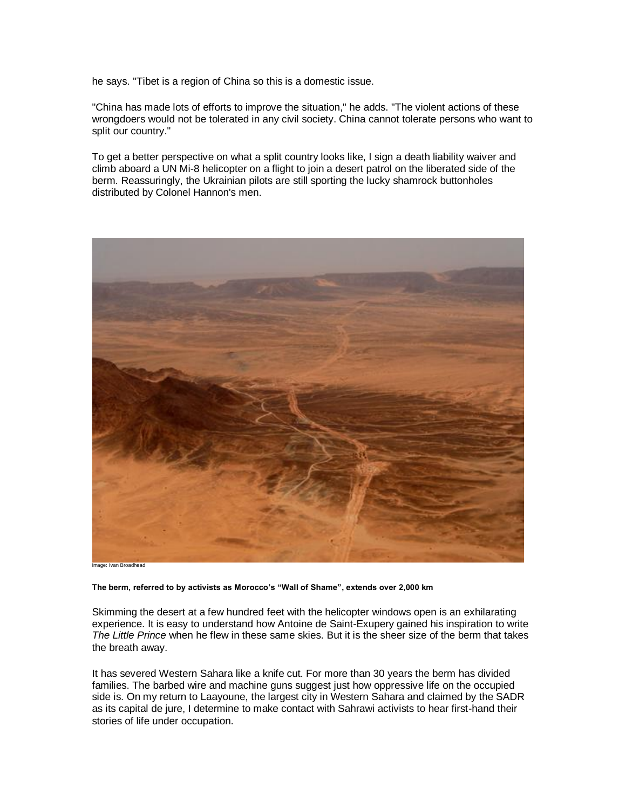he says. "Tibet is a region of China so this is a domestic issue.

"China has made lots of efforts to improve the situation," he adds. "The violent actions of these wrongdoers would not be tolerated in any civil society. China cannot tolerate persons who want to split our country."

To get a better perspective on what a split country looks like, I sign a death liability waiver and climb aboard a UN Mi-8 helicopter on a flight to join a desert patrol on the liberated side of the berm. Reassuringly, the Ukrainian pilots are still sporting the lucky shamrock buttonholes distributed by Colonel Hannon's men.



Image: Ivan Broadhead

**The berm, referred to by activists as Morocco's "Wall of Shame", extends over 2,000 km** 

Skimming the desert at a few hundred feet with the helicopter windows open is an exhilarating experience. It is easy to understand how Antoine de Saint-Exupery gained his inspiration to write *The Little Prince* when he flew in these same skies. But it is the sheer size of the berm that takes the breath away.

It has severed Western Sahara like a knife cut. For more than 30 years the berm has divided families. The barbed wire and machine guns suggest just how oppressive life on the occupied side is. On my return to Laayoune, the largest city in Western Sahara and claimed by the SADR as its capital de jure, I determine to make contact with Sahrawi activists to hear first-hand their stories of life under occupation.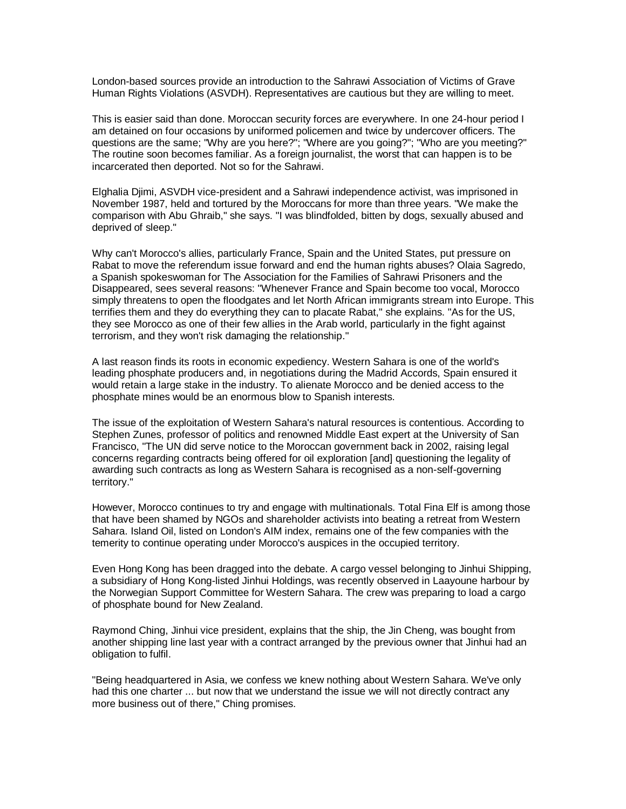London-based sources provide an introduction to the Sahrawi Association of Victims of Grave Human Rights Violations (ASVDH). Representatives are cautious but they are willing to meet.

This is easier said than done. Moroccan security forces are everywhere. In one 24-hour period I am detained on four occasions by uniformed policemen and twice by undercover officers. The questions are the same; "Why are you here?"; "Where are you going?"; "Who are you meeting?" The routine soon becomes familiar. As a foreign journalist, the worst that can happen is to be incarcerated then deported. Not so for the Sahrawi.

Elghalia Djimi, ASVDH vice-president and a Sahrawi independence activist, was imprisoned in November 1987, held and tortured by the Moroccans for more than three years. "We make the comparison with Abu Ghraib," she says. "I was blindfolded, bitten by dogs, sexually abused and deprived of sleep."

Why can't Morocco's allies, particularly France, Spain and the United States, put pressure on Rabat to move the referendum issue forward and end the human rights abuses? Olaia Sagredo, a Spanish spokeswoman for The Association for the Families of Sahrawi Prisoners and the Disappeared, sees several reasons: "Whenever France and Spain become too vocal, Morocco simply threatens to open the floodgates and let North African immigrants stream into Europe. This terrifies them and they do everything they can to placate Rabat," she explains. "As for the US, they see Morocco as one of their few allies in the Arab world, particularly in the fight against terrorism, and they won't risk damaging the relationship."

A last reason finds its roots in economic expediency. Western Sahara is one of the world's leading phosphate producers and, in negotiations during the Madrid Accords, Spain ensured it would retain a large stake in the industry. To alienate Morocco and be denied access to the phosphate mines would be an enormous blow to Spanish interests.

The issue of the exploitation of Western Sahara's natural resources is contentious. According to Stephen Zunes, professor of politics and renowned Middle East expert at the University of San Francisco, "The UN did serve notice to the Moroccan government back in 2002, raising legal concerns regarding contracts being offered for oil exploration [and] questioning the legality of awarding such contracts as long as Western Sahara is recognised as a non-self-governing territory."

However, Morocco continues to try and engage with multinationals. Total Fina Elf is among those that have been shamed by NGOs and shareholder activists into beating a retreat from Western Sahara. Island Oil, listed on London's AIM index, remains one of the few companies with the temerity to continue operating under Morocco's auspices in the occupied territory.

Even Hong Kong has been dragged into the debate. A cargo vessel belonging to Jinhui Shipping, a subsidiary of Hong Kong-listed Jinhui Holdings, was recently observed in Laayoune harbour by the Norwegian Support Committee for Western Sahara. The crew was preparing to load a cargo of phosphate bound for New Zealand.

Raymond Ching, Jinhui vice president, explains that the ship, the Jin Cheng, was bought from another shipping line last year with a contract arranged by the previous owner that Jinhui had an obligation to fulfil.

"Being headquartered in Asia, we confess we knew nothing about Western Sahara. We've only had this one charter ... but now that we understand the issue we will not directly contract any more business out of there," Ching promises.